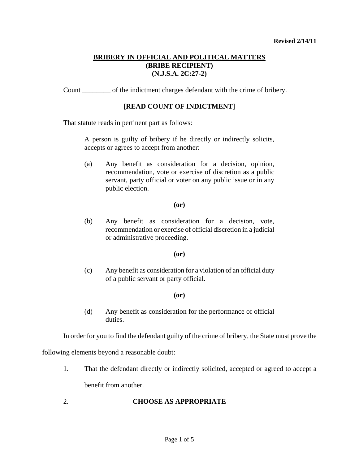Count \_\_\_\_\_\_\_\_ of the indictment charges defendant with the crime of bribery.

## **[READ COUNT OF INDICTMENT]**

That statute reads in pertinent part as follows:

A person is guilty of bribery if he directly or indirectly solicits, accepts or agrees to accept from another:

(a) Any benefit as consideration for a decision, opinion, recommendation, vote or exercise of discretion as a public servant, party official or voter on any public issue or in any public election.

### **(or)**

(b) Any benefit as consideration for a decision, vote, recommendation or exercise of official discretion in a judicial or administrative proceeding.

## **(or)**

(c) Any benefit as consideration for a violation of an official duty of a public servant or party official.

## **(or)**

(d) Any benefit as consideration for the performance of official duties.

In order for you to find the defendant guilty of the crime of bribery, the State must prove the

following elements beyond a reasonable doubt:

1. That the defendant directly or indirectly solicited, accepted or agreed to accept a

benefit from another.

## <span id="page-0-0"></span>2. **CHOOSE AS APPROPRIATE**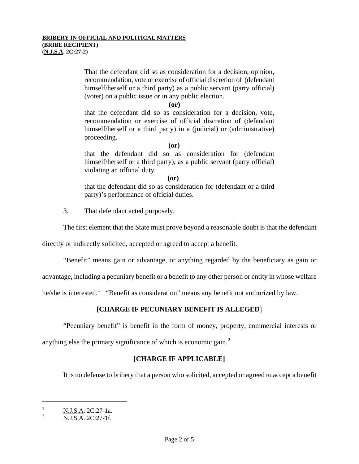That the defendant did so as consideration for a decision, opinion, recommendation, vote or exercise of official discretion of (defendant himself/herself or a third party) as a public servant (party official) (voter) on a public issue or in any public election.

**(or)** 

that the defendant did so as consideration for a decision, vote, recommendation or exercise of official discretion of (defendant himself/herself or a third party) in a (judicial) or (administrative) proceeding.

 **(or)** 

that the defendant did so as consideration for (defendant himself/herself or a third party), as a public servant (party official) violating an official duty.

**(or)** 

that the defendant did so as consideration for (defendant or a third party)'s performance of official duties.

3. That defendant acted purposely.

The first element that the State must prove beyond a reasonable doubt is that the defendant

directly or indirectly solicited, accepted or agreed to accept a benefit.

"Benefit" means gain or advantage, or anything regarded by the beneficiary as gain or

advantage, including a pecuniary benefit or a benefit to any other person or entity in whose welfare

he/she is interested.<sup>[1](#page-0-0)</sup> "Benefit as consideration" means any benefit not authorized by law.

# **[CHARGE IF PECUNIARY BENEFIT IS ALLEGED**]

"Pecuniary benefit" is benefit in the form of money, property, commercial interests or

anything else the primary significance of which is economic gain. $<sup>2</sup>$  $<sup>2</sup>$  $<sup>2</sup>$ </sup>

## **[CHARGE IF APPLICABLE]**

It is no defense to bribery that a person who solicited, accepted or agreed to accept a benefit

ł

 $\frac{1}{2}$  N.J.S.A. 2C:27-1a.

<span id="page-1-1"></span><span id="page-1-0"></span>N.J.S.A. 2C:27-1f.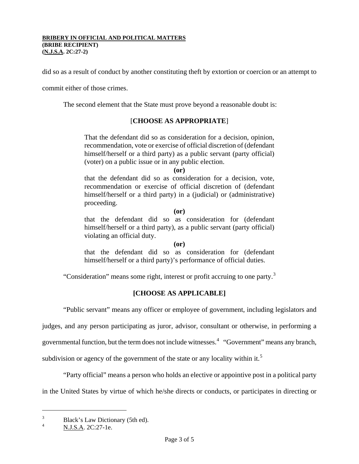did so as a result of conduct by another constituting theft by extortion or coercion or an attempt to

commit either of those crimes.

The second element that the State must prove beyond a reasonable doubt is:

## [**CHOOSE AS APPROPRIATE**]

That the defendant did so as consideration for a decision, opinion, recommendation, vote or exercise of official discretion of (defendant himself/herself or a third party) as a public servant (party official) (voter) on a public issue or in any public election.

**(or)** 

that the defendant did so as consideration for a decision, vote, recommendation or exercise of official discretion of (defendant himself/herself or a third party) in a (judicial) or (administrative) proceeding.

**(or)** 

that the defendant did so as consideration for (defendant himself/herself or a third party), as a public servant (party official) violating an official duty.

#### **(or)**

that the defendant did so as consideration for (defendant himself/herself or a third party)'s performance of official duties.

"Consideration" means some right, interest or profit accruing to one party.<sup>[3](#page-1-1)</sup>

# **[CHOOSE AS APPLICABLE]**

"Public servant" means any officer or employee of government, including legislators and

judges, and any person participating as juror, advisor, consultant or otherwise, in performing a

governmental function, but the term does not include witnesses.<sup>[4](#page-2-0)</sup> "Government" means any branch,

subdivision or agency of the government of the state or any locality within it.<sup>[5](#page-2-1)</sup>

"Party official" means a person who holds an elective or appointive post in a political party

in the United States by virtue of which he/she directs or conducts, or participates in directing or

ł

<span id="page-2-2"></span><span id="page-2-1"></span><sup>3</sup>  $B$ lack's Law Dictionary (5th ed).

<span id="page-2-0"></span>N.J.S.A. 2C:27-1e.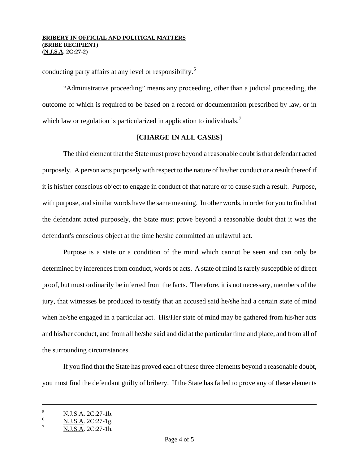conducting party affairs at any level or responsibility.<sup>[6](#page-2-2)</sup>

"Administrative proceeding" means any proceeding, other than a judicial proceeding, the outcome of which is required to be based on a record or documentation prescribed by law, or in which law or regulation is particularized in application to individuals.<sup>[7](#page-3-0)</sup>

## [**CHARGE IN ALL CASES**]

 The third element that the State must prove beyond a reasonable doubt is that defendant acted purposely. A person acts purposely with respect to the nature of his/her conduct or a result thereof if it is his/her conscious object to engage in conduct of that nature or to cause such a result. Purpose, with purpose, and similar words have the same meaning. In other words, in order for you to find that the defendant acted purposely, the State must prove beyond a reasonable doubt that it was the defendant's conscious object at the time he/she committed an unlawful act.

Purpose is a state or a condition of the mind which cannot be seen and can only be determined by inferences from conduct, words or acts. A state of mind is rarely susceptible of direct proof, but must ordinarily be inferred from the facts. Therefore, it is not necessary, members of the jury, that witnesses be produced to testify that an accused said he/she had a certain state of mind when he/she engaged in a particular act. His/Her state of mind may be gathered from his/her acts and his/her conduct, and from all he/she said and did at the particular time and place, and from all of the surrounding circumstances.

If you find that the State has proved each of these three elements beyond a reasonable doubt, you must find the defendant guilty of bribery. If the State has failed to prove any of these elements

ł

<span id="page-3-1"></span><sup>5</sup> N.J.S.A. 2C:27-1b.

N.J.S.A. 2C:27-1g.

<span id="page-3-0"></span>N.J.S.A. 2C:27-1h.